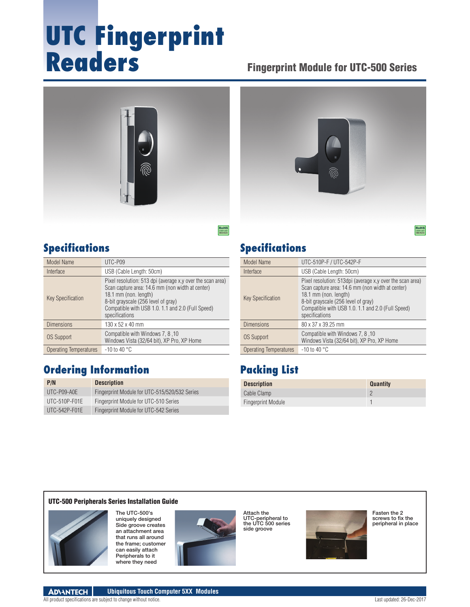# **UTC Fingerprint Readers**

#### Fingerprint Module for UTC-500 Series





#### **Specifications**

| Model Name               | UTC-P09                                                                                                                                                                                                                                                |
|--------------------------|--------------------------------------------------------------------------------------------------------------------------------------------------------------------------------------------------------------------------------------------------------|
| Interface                | USB (Cable Length: 50cm)                                                                                                                                                                                                                               |
| <b>Key Specification</b> | Pixel resolution: 513 dpi (average x, y over the scan area)<br>Scan capture area: 14.6 mm (non width at center)<br>18.1 mm (non. length)<br>8-bit grayscale (256 level of gray)<br>Compatible with USB 1.0. 1.1 and 2.0 (Full Speed)<br>specifications |
| <b>Dimensions</b>        | 130 x 52 x 40 mm                                                                                                                                                                                                                                       |
| <b>OS Support</b>        | Compatible with Windows 7, 8, 10<br>Windows Vista (32/64 bit), XP Pro, XP Home                                                                                                                                                                         |
| Operating Temperatures   | $-10$ to 40 °C                                                                                                                                                                                                                                         |

#### **Ordering Information**

| P/N             | <b>Description</b>                            |
|-----------------|-----------------------------------------------|
| UTC-P09-A0E     | Fingerprint Module for UTC-515/520/532 Series |
| $UTC-510P-FO1E$ | Fingerprint Module for UTC-510 Series         |
| $UTC-542P-FO1E$ | Fingerprint Module for UTC-542 Series         |

#### **Specifications**

| Model Name                    | UTC-510P-F / UTC-542P-F                                                                                                                                                                                                                               |
|-------------------------------|-------------------------------------------------------------------------------------------------------------------------------------------------------------------------------------------------------------------------------------------------------|
| Interface                     | USB (Cable Length: 50cm)                                                                                                                                                                                                                              |
| <b>Key Specification</b>      | Pixel resolution: 513dpi (average x, y over the scan area)<br>Scan capture area: 14.6 mm (non width at center)<br>18.1 mm (non. length)<br>8-bit grayscale (256 level of gray)<br>Compatible with USB 1.0. 1.1 and 2.0 (Full Speed)<br>specifications |
| <b>Dimensions</b>             | 80 x 37 x 39.25 mm                                                                                                                                                                                                                                    |
| <b>OS Support</b>             | Compatible with Windows 7, 8, 10<br>Windows Vista (32/64 bit), XP Pro, XP Home                                                                                                                                                                        |
| <b>Operating Temperatures</b> | $-10$ to 40 °C                                                                                                                                                                                                                                        |

### **Packing List**

| <b>Description</b>        | <b>Quantity</b> |
|---------------------------|-----------------|
| Cable Clamp               |                 |
| <b>Fingerprint Module</b> |                 |

#### UTC-500 Peripherals Series Installation Guide



The UTC-500's uniquely designed Side groove creates an attachment area that runs all around the frame; customer can easily attach Peripherals to it where they need



Attach the UTC-peripheral to the UTC 500 series side groove



Fasten the 2 screws to fix the peripheral in place

RoHS **COMPLIANT 2002/95/EC**

**ADVANTECH Ubiquitous Touch Computer 5XX Modules**

All product specifications are subject to change without notice. Last updated: 26-Dec-2017